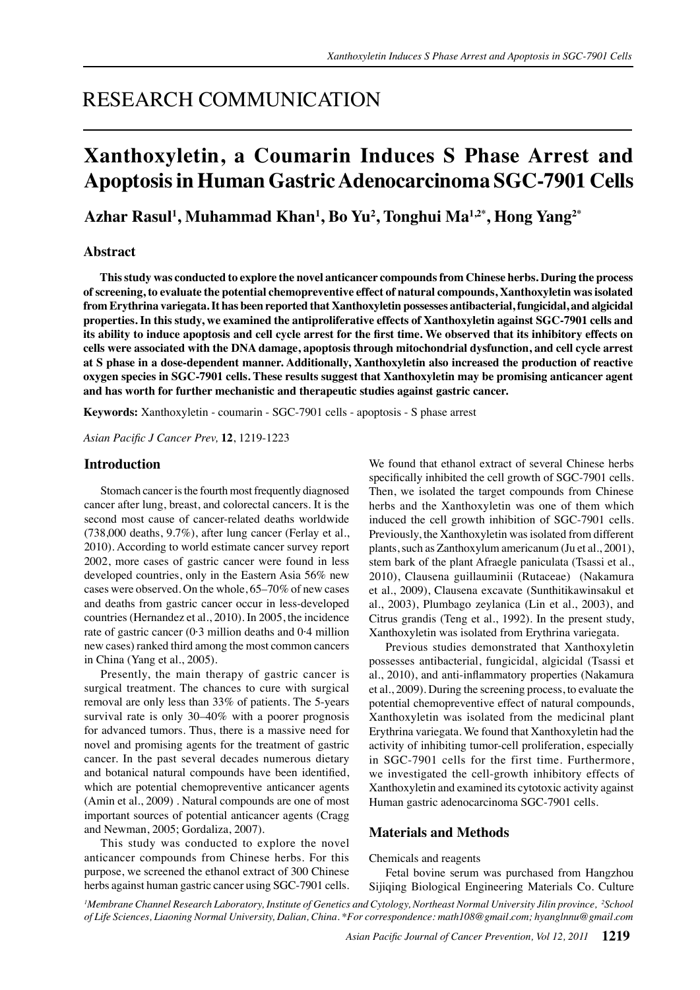## RESEARCH COMMUNICATION

# **Xanthoxyletin, a Coumarin Induces S Phase Arrest and Apoptosis in Human Gastric Adenocarcinoma SGC-7901 Cells**

**Azhar Rasul1 , Muhammad Khan1 , Bo Yu2 , Tonghui Ma1,2\*, Hong Yang2\***

## **Abstract**

**This study was conducted to explore the novel anticancer compounds from Chinese herbs. During the process of screening, to evaluate the potential chemopreventive effect of natural compounds, Xanthoxyletin was isolated from Erythrina variegata. It has been reported that Xanthoxyletin possesses antibacterial, fungicidal, and algicidal properties. In this study, we examined the antiproliferative effects of Xanthoxyletin against SGC-7901 cells and its ability to induce apoptosis and cell cycle arrest for the first time. We observed that its inhibitory effects on cells were associated with the DNA damage, apoptosis through mitochondrial dysfunction, and cell cycle arrest at S phase in a dose-dependent manner. Additionally, Xanthoxyletin also increased the production of reactive oxygen species in SGC-7901 cells. These results suggest that Xanthoxyletin may be promising anticancer agent and has worth for further mechanistic and therapeutic studies against gastric cancer.**

**Keywords:** Xanthoxyletin - coumarin - SGC-7901 cells - apoptosis - S phase arrest

*Asian Pacific J Cancer Prev,* **12**, 1219-1223

## **Introduction**

Stomach cancer is the fourth most frequently diagnosed cancer after lung, breast, and colorectal cancers. It is the second most cause of cancer-related deaths worldwide (738,000 deaths, 9.7%), after lung cancer (Ferlay et al., 2010). According to world estimate cancer survey report 2002, more cases of gastric cancer were found in less developed countries, only in the Eastern Asia 56% new cases were observed. On the whole, 65–70% of new cases and deaths from gastric cancer occur in less-developed countries (Hernandez et al., 2010). In 2005, the incidence rate of gastric cancer  $(0.3 \text{ million deaths}$  and  $0.4 \text{ million}$ new cases) ranked third among the most common cancers in China (Yang et al., 2005).

Presently, the main therapy of gastric cancer is surgical treatment. The chances to cure with surgical removal are only less than 33% of patients. The 5-years survival rate is only 30–40% with a poorer prognosis for advanced tumors. Thus, there is a massive need for novel and promising agents for the treatment of gastric cancer. In the past several decades numerous dietary and botanical natural compounds have been identified, which are potential chemopreventive anticancer agents (Amin et al., 2009) . Natural compounds are one of most important sources of potential anticancer agents (Cragg and Newman, 2005; Gordaliza, 2007).

This study was conducted to explore the novel anticancer compounds from Chinese herbs. For this purpose, we screened the ethanol extract of 300 Chinese herbs against human gastric cancer using SGC-7901 cells. We found that ethanol extract of several Chinese herbs specifically inhibited the cell growth of SGC-7901 cells. Then, we isolated the target compounds from Chinese herbs and the Xanthoxyletin was one of them which induced the cell growth inhibition of SGC-7901 cells. Previously, the Xanthoxyletin was isolated from different plants, such as Zanthoxylum americanum (Ju et al., 2001), stem bark of the plant Afraegle paniculata (Tsassi et al., 2010), Clausena guillauminii (Rutaceae) (Nakamura et al., 2009), Clausena excavate (Sunthitikawinsakul et al., 2003), Plumbago zeylanica (Lin et al., 2003), and Citrus grandis (Teng et al., 1992). In the present study, Xanthoxyletin was isolated from Erythrina variegata.

Previous studies demonstrated that Xanthoxyletin possesses antibacterial, fungicidal, algicidal (Tsassi et al., 2010), and anti-inflammatory properties (Nakamura et al., 2009). During the screening process, to evaluate the potential chemopreventive effect of natural compounds, Xanthoxyletin was isolated from the medicinal plant Erythrina variegata. We found that Xanthoxyletin had the activity of inhibiting tumor-cell proliferation, especially in SGC-7901 cells for the first time. Furthermore, we investigated the cell-growth inhibitory effects of Xanthoxyletin and examined its cytotoxic activity against Human gastric adenocarcinoma SGC-7901 cells.

## **Materials and Methods**

Chemicals and reagents

Fetal bovine serum was purchased from Hangzhou Sijiqing Biological Engineering Materials Co. Culture

*1 Membrane Channel Research Laboratory, Institute of Genetics and Cytology, Northeast Normal University Jilin province, 2 School of Life Sciences, Liaoning Normal University, Dalian, China. \*For correspondence: math108@gmail.com; hyanglnnu@gmail.com*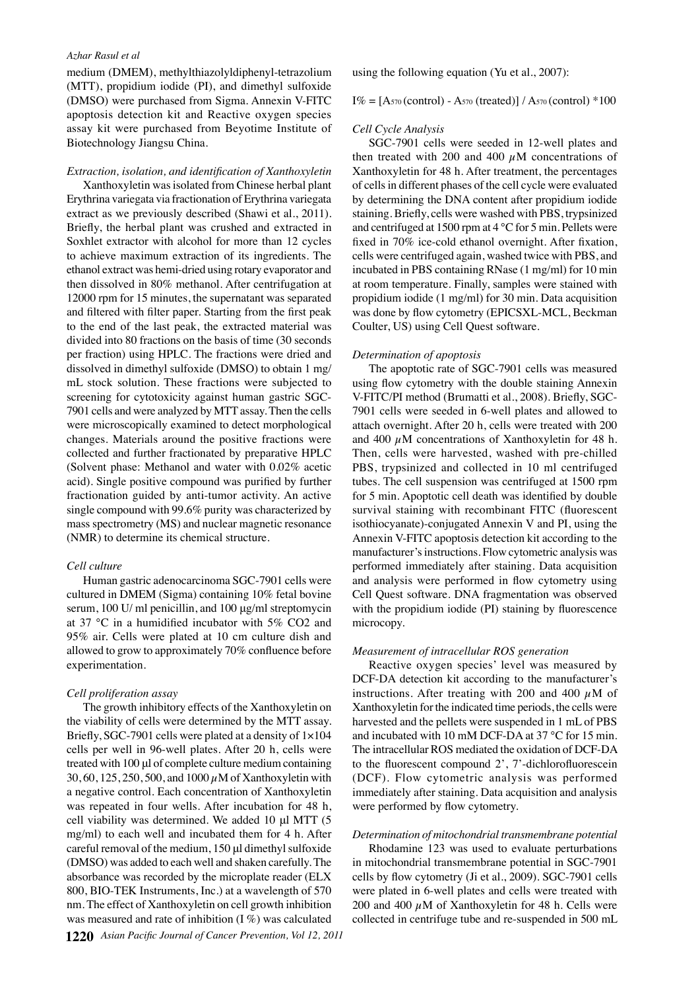#### *Azhar Rasul et al*

medium (DMEM), methylthiazolyldiphenyl-tetrazolium (MTT), propidium iodide (PI), and dimethyl sulfoxide (DMSO) were purchased from Sigma. Annexin V-FITC apoptosis detection kit and Reactive oxygen species assay kit were purchased from Beyotime Institute of Biotechnology Jiangsu China.

#### *Extraction, isolation, and identification of Xanthoxyletin*

Xanthoxyletin was isolated from Chinese herbal plant Erythrina variegata via fractionation of Erythrina variegata extract as we previously described (Shawi et al., 2011). Briefly, the herbal plant was crushed and extracted in Soxhlet extractor with alcohol for more than 12 cycles to achieve maximum extraction of its ingredients. The ethanol extract was hemi-dried using rotary evaporator and then dissolved in 80% methanol. After centrifugation at 12000 rpm for 15 minutes, the supernatant was separated and filtered with filter paper. Starting from the first peak to the end of the last peak, the extracted material was divided into 80 fractions on the basis of time (30 seconds per fraction) using HPLC. The fractions were dried and dissolved in dimethyl sulfoxide (DMSO) to obtain 1 mg/ mL stock solution. These fractions were subjected to screening for cytotoxicity against human gastric SGC-7901 cells and were analyzed by MTT assay. Then the cells were microscopically examined to detect morphological changes. Materials around the positive fractions were collected and further fractionated by preparative HPLC (Solvent phase: Methanol and water with 0.02% acetic acid). Single positive compound was purified by further fractionation guided by anti-tumor activity. An active single compound with 99.6% purity was characterized by mass spectrometry (MS) and nuclear magnetic resonance (NMR) to determine its chemical structure.

#### *Cell culture*

Human gastric adenocarcinoma SGC-7901 cells were cultured in DMEM (Sigma) containing 10% fetal bovine serum, 100 U/ ml penicillin, and 100 μg/ml streptomycin at 37 °C in a humidified incubator with 5% CO2 and 95% air. Cells were plated at 10 cm culture dish and allowed to grow to approximately 70% confluence before experimentation.

#### *Cell proliferation assay*

The growth inhibitory effects of the Xanthoxyletin on the viability of cells were determined by the MTT assay. Briefly, SGC-7901 cells were plated at a density of 1×104 cells per well in 96-well plates. After 20 h, cells were treated with 100 μl of complete culture medium containing 30, 60, 125, 250, 500, and 1000  $\mu$ M of Xanthoxyletin with a negative control. Each concentration of Xanthoxyletin was repeated in four wells. After incubation for 48 h, cell viability was determined. We added 10 μl MTT (5 mg/ml) to each well and incubated them for 4 h. After careful removal of the medium, 150 μl dimethyl sulfoxide (DMSO) was added to each well and shaken carefully. The absorbance was recorded by the microplate reader (ELX 800, BIO-TEK Instruments, Inc.) at a wavelength of 570 nm. The effect of Xanthoxyletin on cell growth inhibition was measured and rate of inhibition (I %) was calculated

using the following equation (Yu et al., 2007):

 $I\% = [A_{570} (control) - A_{570} (treated)] / A_{570} (control) * 100$ 

#### *Cell Cycle Analysis*

was done by flow cytometry (EPICSXL-MCL, Beckman<sup>50.0</sup> cells were centrifuged again, washed twice with PBS, and  $75.0$ staining. Briefly, cells were washed with PBS, trypsinized 00.0 SGC-7901 cells were seeded in 12-well plates and then treated with 200 and 400  $\mu$ M concentrations of Xanthoxyletin for 48 h. After treatment, the percentages of cells in different phases of the cell cycle were evaluated by determining the DNA content after propidium iodide and centrifuged at 1500 rpm at 4 °C for 5 min. Pellets were fixed in 70% ice-cold ethanol overnight. After fixation, incubated in PBS containing RNase (1 mg/ml) for 10 min at room temperature. Finally, samples were stained with propidium iodide (1 mg/ml) for 30 min. Data acquisition Coulter, US) using Cell Quest software.

#### *Determination of apoptosis*

The apoptotic rate of SGC-7901 cells was measured using flow cytometry with the double staining Annexin V-FITC/PI method (Brumatti et al., 2008). Briefly, SGC-7901 cells were seeded in 6-well plates and allowed to attach overnight. After 20 h, cells were treated with 200 and 400  $\mu$ M concentrations of Xanthoxyletin for 48 h. Then, cells were harvested, washed with pre-chilled PBS, trypsinized and collected in 10 ml centrifuged tubes. The cell suspension was centrifuged at 1500 rpm for 5 min. Apoptotic cell death was identified by double survival staining with recombinant FITC (fluorescent isothiocyanate)-conjugated Annexin V and PI, using the Annexin V-FITC apoptosis detection kit according to the manufacturer's instructions. Flow cytometric analysis was performed immediately after staining. Data acquisition and analysis were performed in flow cytometry using Cell Quest software. DNA fragmentation was observed with the propidium iodide (PI) staining by fluorescence microcopy.

#### *Measurement of intracellular ROS generation*

Reactive oxygen species' level was measured by DCF-DA detection kit according to the manufacturer's instructions. After treating with 200 and 400  $\mu$ M of Xanthoxyletin for the indicated time periods, the cells were harvested and the pellets were suspended in 1 mL of PBS and incubated with 10 mM DCF-DA at 37 °C for 15 min. The intracellular ROS mediated the oxidation of DCF-DA to the fluorescent compound 2', 7'-dichlorofluorescein (DCF). Flow cytometric analysis was performed immediately after staining. Data acquisition and analysis were performed by flow cytometry.

### *Determination of mitochondrial transmembrane potential*

Rhodamine 123 was used to evaluate perturbations in mitochondrial transmembrane potential in SGC-7901 cells by flow cytometry (Ji et al., 2009). SGC-7901 cells were plated in 6-well plates and cells were treated with 200 and 400  $\mu$ M of Xanthoxyletin for 48 h. Cells were collected in centrifuge tube and re-suspended in 500 mL 0

25.0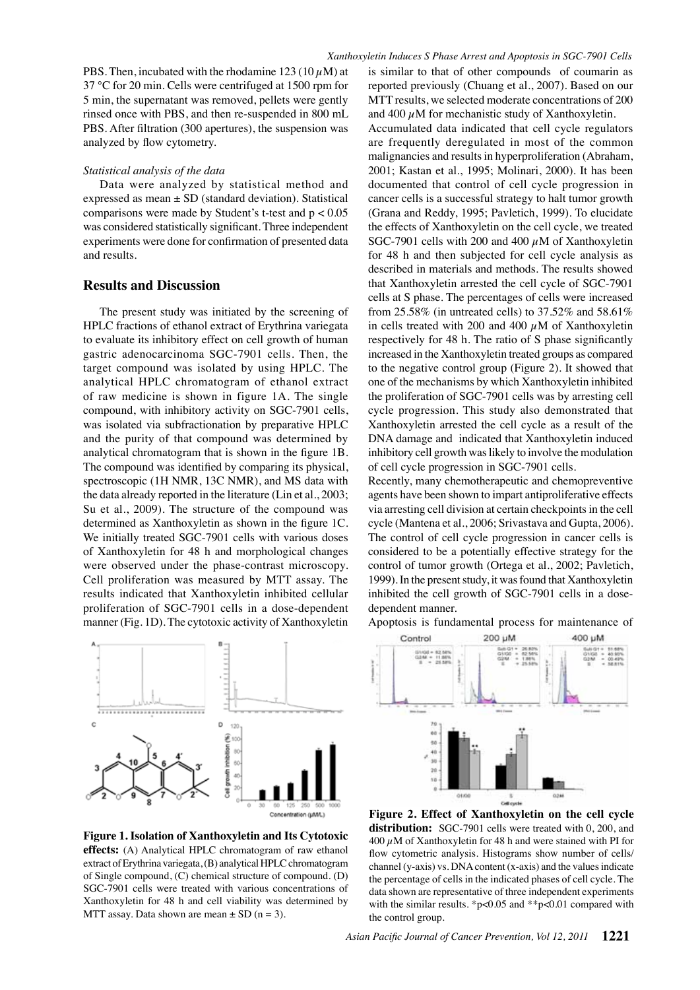PBS. Then, incubated with the rhodamine  $123 (10 \,\mu\text{M})$  at 37 °C for 20 min. Cells were centrifuged at 1500 rpm for 5 min, the supernatant was removed, pellets were gently rinsed once with PBS, and then re-suspended in 800 mL PBS. After filtration (300 apertures), the suspension was analyzed by flow cytometry.

#### *Statistical analysis of the data*

Data were analyzed by statistical method and expressed as mean ± SD (standard deviation). Statistical comparisons were made by Student's t-test and  $p < 0.05$ was considered statistically significant. Three independent experiments were done for confirmation of presented data and results.

## **Results and Discussion**

The present study was initiated by the screening of HPLC fractions of ethanol extract of Erythrina variegata to evaluate its inhibitory effect on cell growth of human gastric adenocarcinoma SGC-7901 cells. Then, the target compound was isolated by using HPLC. The analytical HPLC chromatogram of ethanol extract of raw medicine is shown in figure 1A. The single compound, with inhibitory activity on SGC-7901 cells, was isolated via subfractionation by preparative HPLC and the purity of that compound was determined by analytical chromatogram that is shown in the figure 1B. The compound was identified by comparing its physical, spectroscopic (1H NMR, 13C NMR), and MS data with the data already reported in the literature (Lin et al., 2003; Su et al., 2009). The structure of the compound was determined as Xanthoxyletin as shown in the figure 1C. We initially treated SGC-7901 cells with various doses of Xanthoxyletin for 48 h and morphological changes were observed under the phase-contrast microscopy. Cell proliferation was measured by MTT assay. The results indicated that Xanthoxyletin inhibited cellular proliferation of SGC-7901 cells in a dose-dependent manner (Fig. 1D). The cytotoxic activity of Xanthoxyletin



**Figure 1. Isolation of Xanthoxyletin and Its Cytotoxic effects:** (A) Analytical HPLC chromatogram of raw ethanol extract of Erythrina variegata, (B) analytical HPLC chromatogram of Single compound, (C) chemical structure of compound. (D) SGC-7901 cells were treated with various concentrations of Xanthoxyletin for 48 h and cell viability was determined by MTT assay. Data shown are mean  $\pm$  SD (n = 3).

is similar to that of other compounds of coumarin as reported previously (Chuang et al., 2007). Based on our MTT results, we selected moderate concentrations of 200 and 400  $\mu$ M for mechanistic study of Xanthoxyletin.

Accumulated data indicated that cell cycle regulators are frequently deregulated in most of the common malignancies and results in hyperproliferation (Abraham, 2001; Kastan et al., 1995; Molinari, 2000). It has been documented that control of cell cycle progression in cancer cells is a successful strategy to halt tumor growth (Grana and Reddy, 1995; Pavletich, 1999). To elucidate the effects of Xanthoxyletin on the cell cycle, we treated SGC-7901 cells with 200 and 400  $\mu$ M of Xanthoxyletin for 48 h and then subjected for cell cycle analysis as described in materials and methods. The results showed that Xanthoxyletin arrested the cell cycle of SGC-7901 cells at S phase. The percentages of cells were increased from 25.58% (in untreated cells) to 37.52% and 58.61% in cells treated with 200 and 400  $\mu$ M of Xanthoxyletin respectively for 48 h. The ratio of S phase significantly increased in the Xanthoxyletin treated groups as compared to the negative control group (Figure 2). It showed that one of the mechanisms by which Xanthoxyletin inhibited the proliferation of SGC-7901 cells was by arresting cell cycle progression. This study also demonstrated that Xanthoxyletin arrested the cell cycle as a result of the DNA damage and indicated that Xanthoxyletin induced inhibitory cell growth was likely to involve the modulation of cell cycle progression in SGC-7901 cells.

Recently, many chemotherapeutic and chemopreventive agents have been shown to impart antiproliferative effects via arresting cell division at certain checkpoints in the cell cycle (Mantena et al., 2006; Srivastava and Gupta, 2006). The control of cell cycle progression in cancer cells is considered to be a potentially effective strategy for the control of tumor growth (Ortega et al., 2002; Pavletich, 1999). In the present study, it was found that Xanthoxyletin inhibited the cell growth of SGC-7901 cells in a dosedependent manner.

Apoptosis is fundamental process for maintenance of



**Figure 2. Effect of Xanthoxyletin on the cell cycle**  distribution: SGC-7901 cells were treated with 0, 200, and 400  $\mu$ M of Xanthoxyletin for 48 h and were stained with PI for flow cytometric analysis. Histograms show number of cells/ channel (y-axis) vs. DNA content (x-axis) and the values indicate the percentage of cells in the indicated phases of cell cycle. The data shown are representative of three independent experiments with the similar results. \*p<0.05 and \*\*p<0.01 compared with the control group.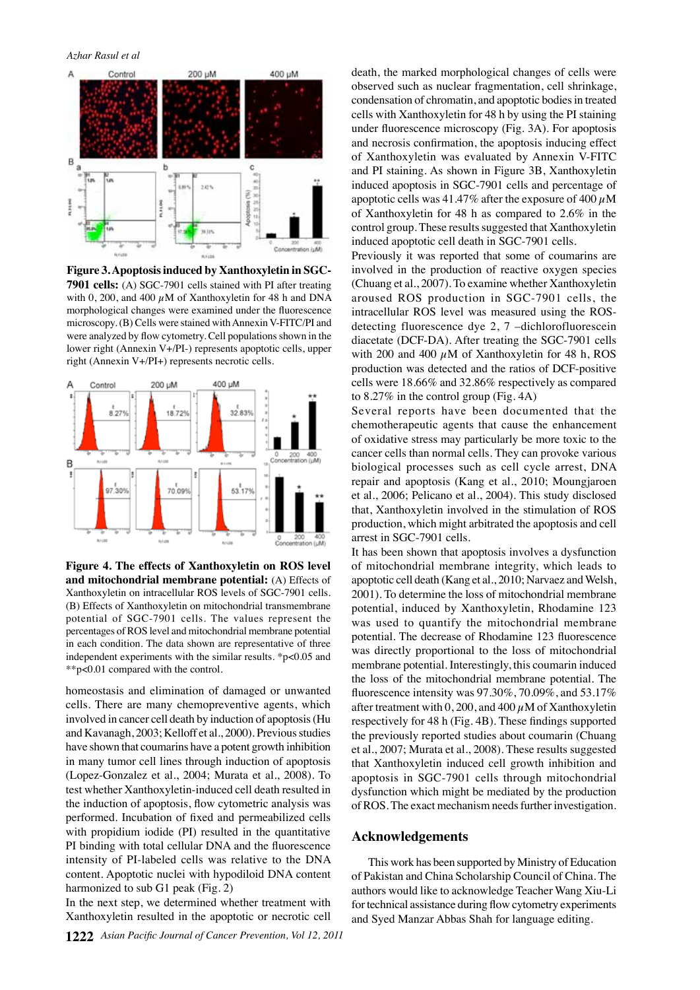

**Figure 3. Apoptosis induced by Xanthoxyletin in SGC-7901 cells:** (A) SGC-7901 cells stained with PI after treating with 0, 200, and 400  $\mu$ M of Xanthoxyletin for 48 h and DNA morphological changes were examined under the fluorescence microscopy. (B) Cells were stained with Annexin V-FITC/PI and were analyzed by flow cytometry. Cell populations shown in the lower right (Annexin V+/PI-) represents apoptotic cells, upper right (Annexin V+/PI+) represents necrotic cells.



**Figure 4. The effects of Xanthoxyletin on ROS level and mitochondrial membrane potential:** (A) Effects of Xanthoxyletin on intracellular ROS levels of SGC-7901 cells. (B) Effects of Xanthoxyletin on mitochondrial transmembrane potential of SGC-7901 cells. The values represent the percentages of ROS level and mitochondrial membrane potential in each condition. The data shown are representative of three independent experiments with the similar results. \*p<0.05 and \*\*p<0.01 compared with the control.

homeostasis and elimination of damaged or unwanted cells. There are many chemopreventive agents, which involved in cancer cell death by induction of apoptosis (Hu and Kavanagh, 2003; Kelloff et al., 2000). Previous studies have shown that coumarins have a potent growth inhibition in many tumor cell lines through induction of apoptosis (Lopez-Gonzalez et al., 2004; Murata et al., 2008). To test whether Xanthoxyletin-induced cell death resulted in the induction of apoptosis, flow cytometric analysis was performed. Incubation of fixed and permeabilized cells with propidium iodide (PI) resulted in the quantitative PI binding with total cellular DNA and the fluorescence intensity of PI-labeled cells was relative to the DNA content. Apoptotic nuclei with hypodiloid DNA content harmonized to sub G1 peak (Fig. 2)

In the next step, we determined whether treatment with Xanthoxyletin resulted in the apoptotic or necrotic cell death, the marked morphological changes of cells were observed such as nuclear fragmentation, cell shrinkage, condensation of chromatin, and apoptotic bodies in treated cells with Xanthoxyletin for 48 h by using the PI staining under fluorescence microscopy (Fig. 3A). For apoptosis and necrosis confirmation, the apoptosis inducing effect of Xanthoxyletin was evaluated by Annexin V-FITC and PI staining. As shown in Figure 3B, Xanthoxyletin induced apoptosis in SGC-7901 cells and percentage of apoptotic cells was 41.47% after the exposure of 400  $\mu$ M of Xanthoxyletin for 48 h as compared to 2.6% in the control group. These results suggested that Xanthoxyletin induced apoptotic cell death in SGC-7901 cells.

Previously it was reported that some of coumarins are involved in the production of reactive oxygen species (Chuang et al., 2007). To examine whether Xanthoxyletin aroused ROS production in SGC-7901 cells, the intracellular ROS level was measured using the ROSdetecting fluorescence dye 2, 7 –dichlorofluorescein diacetate (DCF-DA). After treating the SGC-7901 cells with 200 and 400  $\mu$ M of Xanthoxyletin for 48 h, ROS production was detected and the ratios of DCF-positive cells were 18.66% and 32.86% respectively as compared to 8.27% in the control group (Fig. 4A)

Several reports have been documented that the chemotherapeutic agents that cause the enhancement of oxidative stress may particularly be more toxic to the cancer cells than normal cells. They can provoke various biological processes such as cell cycle arrest, DNA repair and apoptosis (Kang et al., 2010; Moungjaroen et al., 2006; Pelicano et al., 2004). This study disclosed that, Xanthoxyletin involved in the stimulation of ROS production, which might arbitrated the apoptosis and cell arrest in SGC-7901 cells.

It has been shown that apoptosis involves a dysfunction of mitochondrial membrane integrity, which leads to apoptotic cell death (Kang et al., 2010; Narvaez and Welsh, 2001). To determine the loss of mitochondrial membrane potential, induced by Xanthoxyletin, Rhodamine 123 was used to quantify the mitochondrial membrane potential. The decrease of Rhodamine 123 fluorescence was directly proportional to the loss of mitochondrial membrane potential. Interestingly, this coumarin induced the loss of the mitochondrial membrane potential. The fluorescence intensity was 97.30%, 70.09%, and 53.17% after treatment with  $0,200$ , and  $400 \mu$ M of Xanthoxyletin respectively for 48 h (Fig. 4B). These findings supported the previously reported studies about coumarin (Chuang et al., 2007; Murata et al., 2008). These results suggested that Xanthoxyletin induced cell growth inhibition and apoptosis in SGC-7901 cells through mitochondrial dysfunction which might be mediated by the production of ROS. The exact mechanism needs further investigation.

#### **Acknowledgements**

This work has been supported by Ministry of Education of Pakistan and China Scholarship Council of China. The authors would like to acknowledge Teacher Wang Xiu-Li for technical assistance during flow cytometry experiments and Syed Manzar Abbas Shah for language editing.